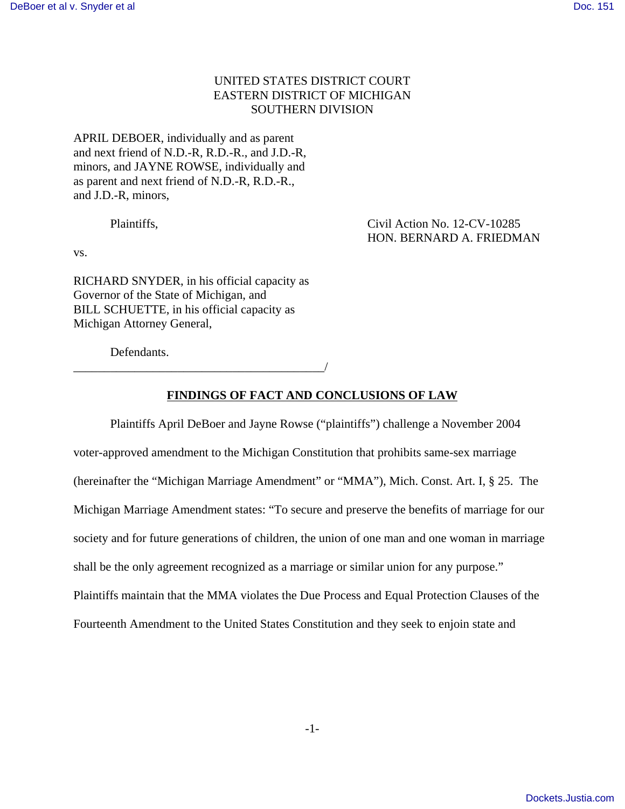# UNITED STATES DISTRICT COURT EASTERN DISTRICT OF MICHIGAN SOUTHERN DIVISION

APRIL DEBOER, individually and as parent and next friend of N.D.-R, R.D.-R., and J.D.-R, minors, and JAYNE ROWSE, individually and as parent and next friend of N.D.-R, R.D.-R., and J.D.-R, minors,

Plaintiffs, Civil Action No. 12-CV-10285 HON. BERNARD A. FRIEDMAN

vs.

RICHARD SNYDER, in his official capacity as Governor of the State of Michigan, and BILL SCHUETTE, in his official capacity as Michigan Attorney General,

\_\_\_\_\_\_\_\_\_\_\_\_\_\_\_\_\_\_\_\_\_\_\_\_\_\_\_\_\_\_\_\_\_\_\_\_\_\_\_\_\_/

Defendants.

## **FINDINGS OF FACT AND CONCLUSIONS OF LAW**

Plaintiffs April DeBoer and Jayne Rowse ("plaintiffs") challenge a November 2004 voter-approved amendment to the Michigan Constitution that prohibits same-sex marriage (hereinafter the "Michigan Marriage Amendment" or "MMA"), Mich. Const. Art. I, § 25. The Michigan Marriage Amendment states: "To secure and preserve the benefits of marriage for our society and for future generations of children, the union of one man and one woman in marriage shall be the only agreement recognized as a marriage or similar union for any purpose." Plaintiffs maintain that the MMA violates the Due Process and Equal Protection Clauses of the Fourteenth Amendment to the United States Constitution and they seek to enjoin state and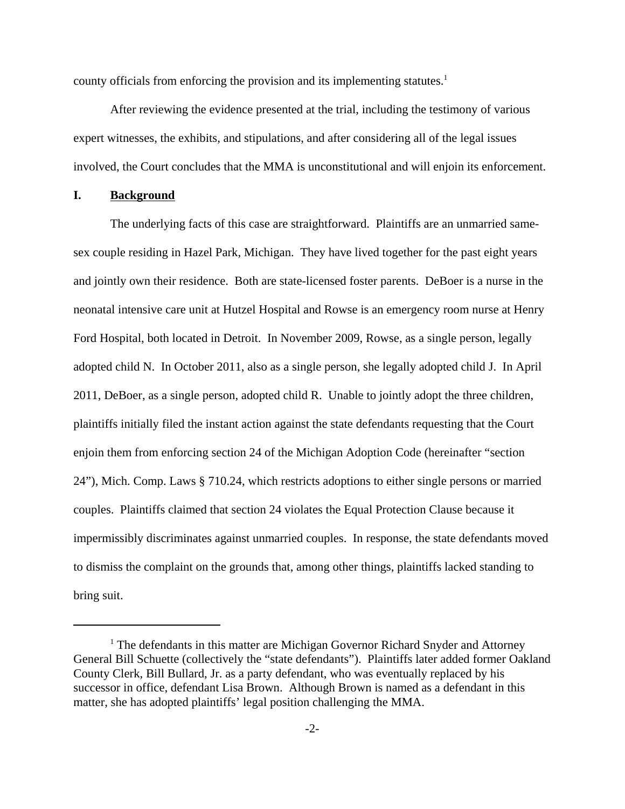county officials from enforcing the provision and its implementing statutes.<sup>1</sup>

After reviewing the evidence presented at the trial, including the testimony of various expert witnesses, the exhibits, and stipulations, and after considering all of the legal issues involved, the Court concludes that the MMA is unconstitutional and will enjoin its enforcement.

#### **I. Background**

The underlying facts of this case are straightforward. Plaintiffs are an unmarried samesex couple residing in Hazel Park, Michigan. They have lived together for the past eight years and jointly own their residence. Both are state-licensed foster parents. DeBoer is a nurse in the neonatal intensive care unit at Hutzel Hospital and Rowse is an emergency room nurse at Henry Ford Hospital, both located in Detroit. In November 2009, Rowse, as a single person, legally adopted child N. In October 2011, also as a single person, she legally adopted child J. In April 2011, DeBoer, as a single person, adopted child R. Unable to jointly adopt the three children, plaintiffs initially filed the instant action against the state defendants requesting that the Court enjoin them from enforcing section 24 of the Michigan Adoption Code (hereinafter "section 24"), Mich. Comp. Laws § 710.24, which restricts adoptions to either single persons or married couples. Plaintiffs claimed that section 24 violates the Equal Protection Clause because it impermissibly discriminates against unmarried couples. In response, the state defendants moved to dismiss the complaint on the grounds that, among other things, plaintiffs lacked standing to bring suit.

<sup>&</sup>lt;sup>1</sup> The defendants in this matter are Michigan Governor Richard Snyder and Attorney General Bill Schuette (collectively the "state defendants"). Plaintiffs later added former Oakland County Clerk, Bill Bullard, Jr. as a party defendant, who was eventually replaced by his successor in office, defendant Lisa Brown. Although Brown is named as a defendant in this matter, she has adopted plaintiffs' legal position challenging the MMA.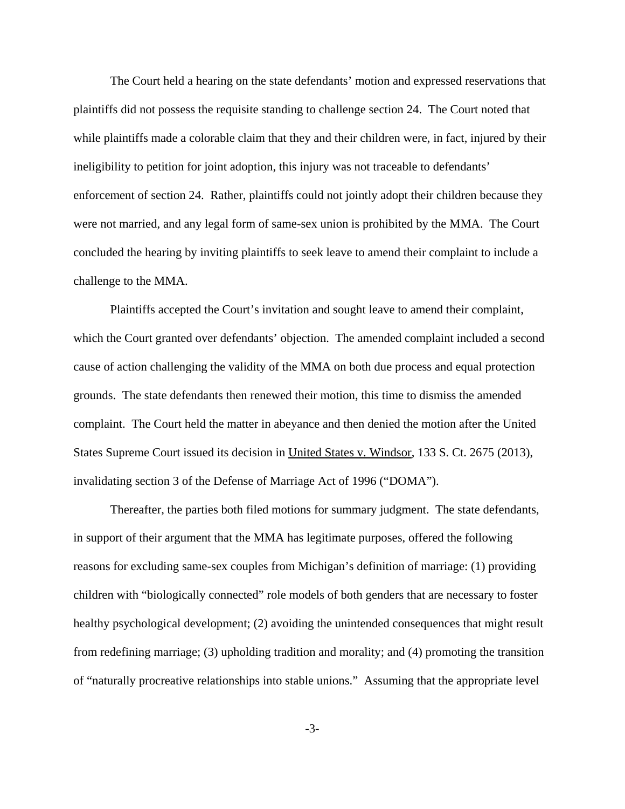The Court held a hearing on the state defendants' motion and expressed reservations that plaintiffs did not possess the requisite standing to challenge section 24. The Court noted that while plaintiffs made a colorable claim that they and their children were, in fact, injured by their ineligibility to petition for joint adoption, this injury was not traceable to defendants' enforcement of section 24. Rather, plaintiffs could not jointly adopt their children because they were not married, and any legal form of same-sex union is prohibited by the MMA. The Court concluded the hearing by inviting plaintiffs to seek leave to amend their complaint to include a challenge to the MMA.

Plaintiffs accepted the Court's invitation and sought leave to amend their complaint, which the Court granted over defendants' objection. The amended complaint included a second cause of action challenging the validity of the MMA on both due process and equal protection grounds. The state defendants then renewed their motion, this time to dismiss the amended complaint. The Court held the matter in abeyance and then denied the motion after the United States Supreme Court issued its decision in United States v. Windsor, 133 S. Ct. 2675 (2013), invalidating section 3 of the Defense of Marriage Act of 1996 ("DOMA").

Thereafter, the parties both filed motions for summary judgment. The state defendants, in support of their argument that the MMA has legitimate purposes, offered the following reasons for excluding same-sex couples from Michigan's definition of marriage: (1) providing children with "biologically connected" role models of both genders that are necessary to foster healthy psychological development; (2) avoiding the unintended consequences that might result from redefining marriage; (3) upholding tradition and morality; and (4) promoting the transition of "naturally procreative relationships into stable unions." Assuming that the appropriate level

-3-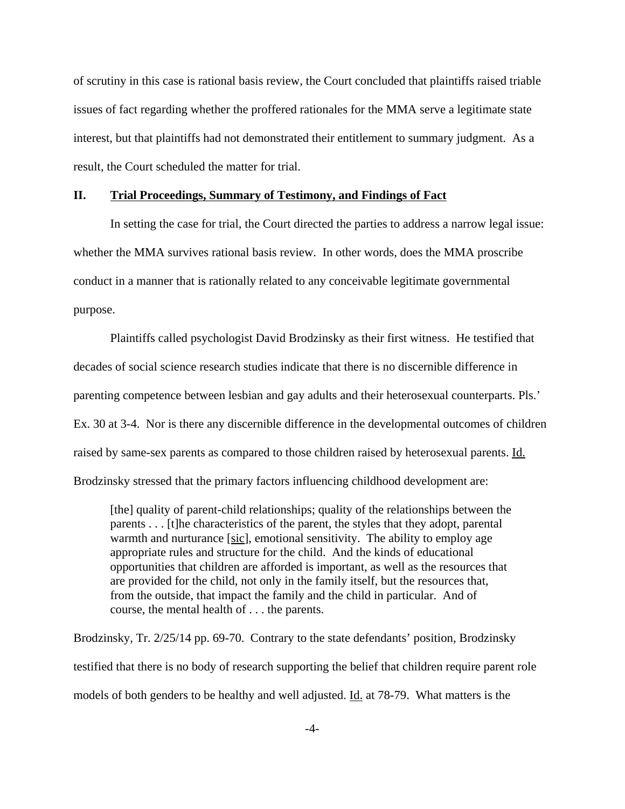of scrutiny in this case is rational basis review, the Court concluded that plaintiffs raised triable issues of fact regarding whether the proffered rationales for the MMA serve a legitimate state interest, but that plaintiffs had not demonstrated their entitlement to summary judgment. As a result, the Court scheduled the matter for trial.

#### **II. Trial Proceedings, Summary of Testimony, and Findings of Fact**

In setting the case for trial, the Court directed the parties to address a narrow legal issue: whether the MMA survives rational basis review. In other words, does the MMA proscribe conduct in a manner that is rationally related to any conceivable legitimate governmental purpose.

Plaintiffs called psychologist David Brodzinsky as their first witness. He testified that decades of social science research studies indicate that there is no discernible difference in parenting competence between lesbian and gay adults and their heterosexual counterparts. Pls.' Ex. 30 at 3-4. Nor is there any discernible difference in the developmental outcomes of children raised by same-sex parents as compared to those children raised by heterosexual parents. Id. Brodzinsky stressed that the primary factors influencing childhood development are:

[the] quality of parent-child relationships; quality of the relationships between the parents . . . [t]he characteristics of the parent, the styles that they adopt, parental warmth and nurturance [sic], emotional sensitivity. The ability to employ age appropriate rules and structure for the child. And the kinds of educational opportunities that children are afforded is important, as well as the resources that are provided for the child, not only in the family itself, but the resources that, from the outside, that impact the family and the child in particular. And of course, the mental health of . . . the parents.

Brodzinsky, Tr. 2/25/14 pp. 69-70. Contrary to the state defendants' position, Brodzinsky testified that there is no body of research supporting the belief that children require parent role models of both genders to be healthy and well adjusted. Id. at 78-79. What matters is the

-4-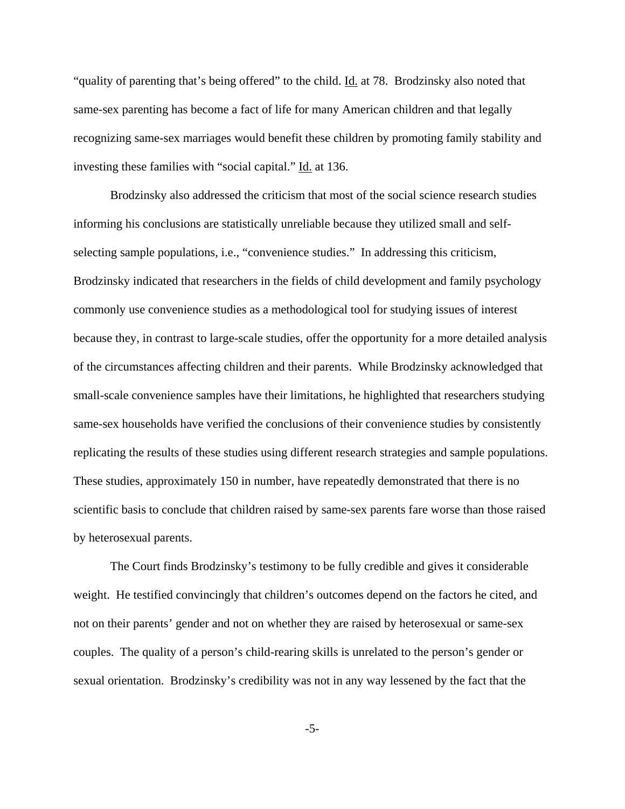"quality of parenting that's being offered" to the child. Id. at 78. Brodzinsky also noted that same-sex parenting has become a fact of life for many American children and that legally recognizing same-sex marriages would benefit these children by promoting family stability and investing these families with "social capital." Id. at 136.

Brodzinsky also addressed the criticism that most of the social science research studies informing his conclusions are statistically unreliable because they utilized small and selfselecting sample populations, i.e., "convenience studies." In addressing this criticism, Brodzinsky indicated that researchers in the fields of child development and family psychology commonly use convenience studies as a methodological tool for studying issues of interest because they, in contrast to large-scale studies, offer the opportunity for a more detailed analysis of the circumstances affecting children and their parents. While Brodzinsky acknowledged that small-scale convenience samples have their limitations, he highlighted that researchers studying same-sex households have verified the conclusions of their convenience studies by consistently replicating the results of these studies using different research strategies and sample populations. These studies, approximately 150 in number, have repeatedly demonstrated that there is no scientific basis to conclude that children raised by same-sex parents fare worse than those raised by heterosexual parents.

The Court finds Brodzinsky's testimony to be fully credible and gives it considerable weight. He testified convincingly that children's outcomes depend on the factors he cited, and not on their parents' gender and not on whether they are raised by heterosexual or same-sex couples. The quality of a person's child-rearing skills is unrelated to the person's gender or sexual orientation. Brodzinsky's credibility was not in any way lessened by the fact that the

-5-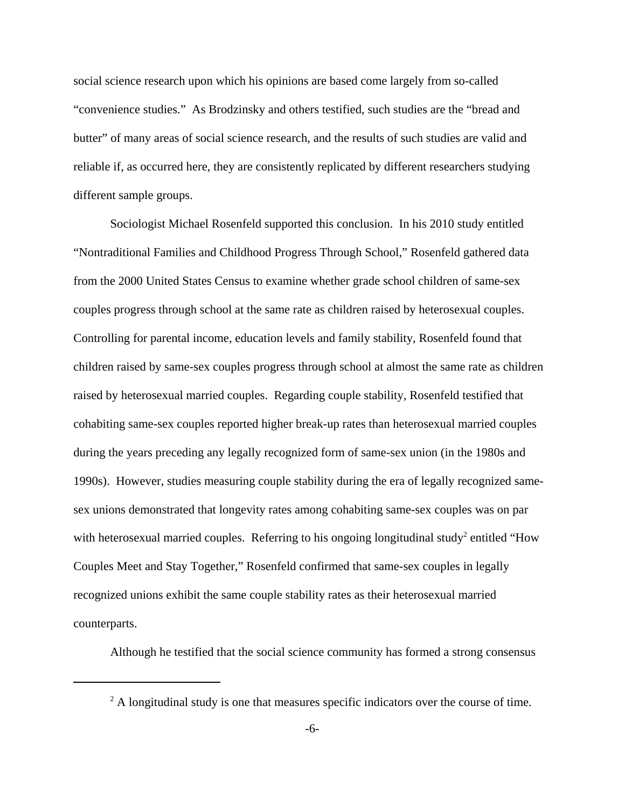social science research upon which his opinions are based come largely from so-called "convenience studies." As Brodzinsky and others testified, such studies are the "bread and butter" of many areas of social science research, and the results of such studies are valid and reliable if, as occurred here, they are consistently replicated by different researchers studying different sample groups.

Sociologist Michael Rosenfeld supported this conclusion. In his 2010 study entitled "Nontraditional Families and Childhood Progress Through School," Rosenfeld gathered data from the 2000 United States Census to examine whether grade school children of same-sex couples progress through school at the same rate as children raised by heterosexual couples. Controlling for parental income, education levels and family stability, Rosenfeld found that children raised by same-sex couples progress through school at almost the same rate as children raised by heterosexual married couples. Regarding couple stability, Rosenfeld testified that cohabiting same-sex couples reported higher break-up rates than heterosexual married couples during the years preceding any legally recognized form of same-sex union (in the 1980s and 1990s). However, studies measuring couple stability during the era of legally recognized samesex unions demonstrated that longevity rates among cohabiting same-sex couples was on par with heterosexual married couples. Referring to his ongoing longitudinal study<sup>2</sup> entitled "How Couples Meet and Stay Together," Rosenfeld confirmed that same-sex couples in legally recognized unions exhibit the same couple stability rates as their heterosexual married counterparts.

Although he testified that the social science community has formed a strong consensus

 $2^2$  A longitudinal study is one that measures specific indicators over the course of time.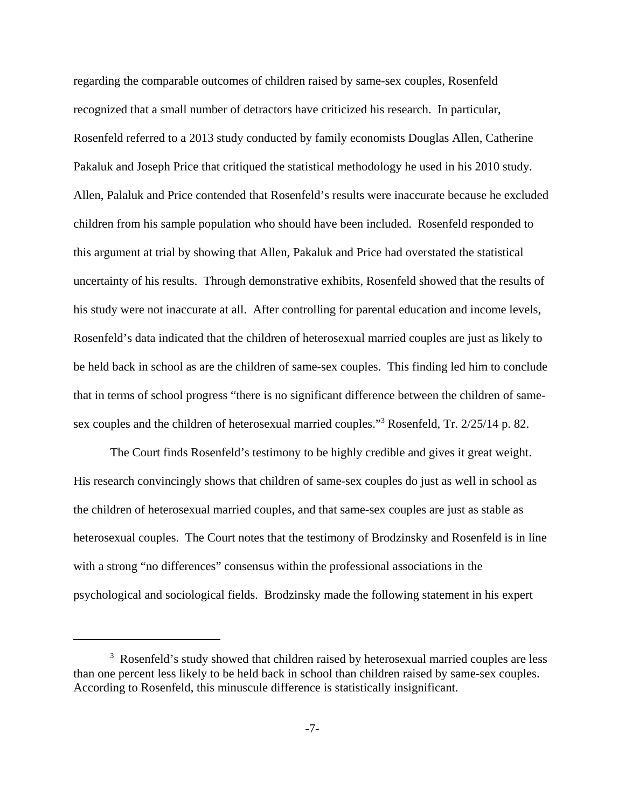regarding the comparable outcomes of children raised by same-sex couples, Rosenfeld recognized that a small number of detractors have criticized his research. In particular, Rosenfeld referred to a 2013 study conducted by family economists Douglas Allen, Catherine Pakaluk and Joseph Price that critiqued the statistical methodology he used in his 2010 study. Allen, Palaluk and Price contended that Rosenfeld's results were inaccurate because he excluded children from his sample population who should have been included. Rosenfeld responded to this argument at trial by showing that Allen, Pakaluk and Price had overstated the statistical uncertainty of his results. Through demonstrative exhibits, Rosenfeld showed that the results of his study were not inaccurate at all. After controlling for parental education and income levels, Rosenfeld's data indicated that the children of heterosexual married couples are just as likely to be held back in school as are the children of same-sex couples. This finding led him to conclude that in terms of school progress "there is no significant difference between the children of samesex couples and the children of heterosexual married couples."<sup>3</sup> Rosenfeld, Tr. 2/25/14 p. 82.

The Court finds Rosenfeld's testimony to be highly credible and gives it great weight. His research convincingly shows that children of same-sex couples do just as well in school as the children of heterosexual married couples, and that same-sex couples are just as stable as heterosexual couples. The Court notes that the testimony of Brodzinsky and Rosenfeld is in line with a strong "no differences" consensus within the professional associations in the psychological and sociological fields. Brodzinsky made the following statement in his expert

<sup>&</sup>lt;sup>3</sup> Rosenfeld's study showed that children raised by heterosexual married couples are less than one percent less likely to be held back in school than children raised by same-sex couples. According to Rosenfeld, this minuscule difference is statistically insignificant.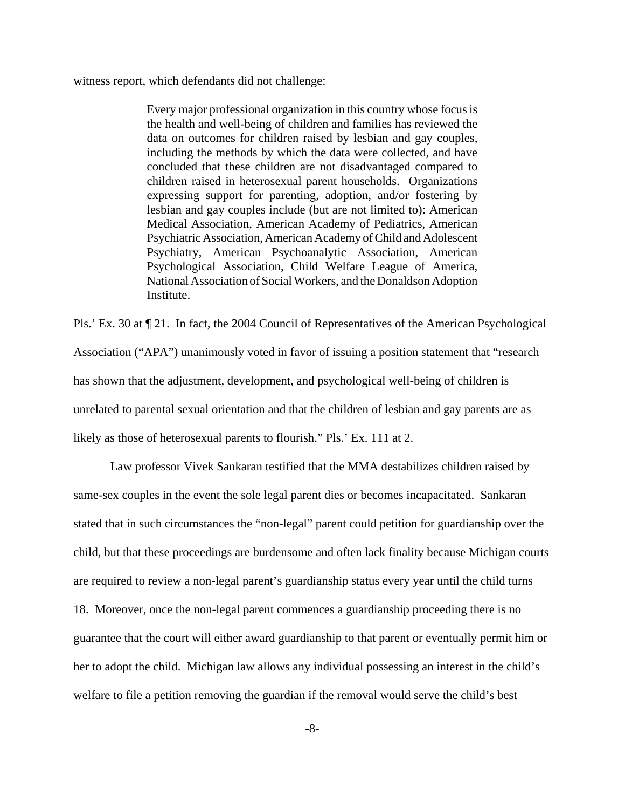witness report, which defendants did not challenge:

Every major professional organization in this country whose focus is the health and well-being of children and families has reviewed the data on outcomes for children raised by lesbian and gay couples, including the methods by which the data were collected, and have concluded that these children are not disadvantaged compared to children raised in heterosexual parent households. Organizations expressing support for parenting, adoption, and/or fostering by lesbian and gay couples include (but are not limited to): American Medical Association, American Academy of Pediatrics, American Psychiatric Association, American Academy of Child and Adolescent Psychiatry, American Psychoanalytic Association, American Psychological Association, Child Welfare League of America, National Association of Social Workers, and the Donaldson Adoption Institute.

Pls.' Ex. 30 at ¶ 21. In fact, the 2004 Council of Representatives of the American Psychological Association ("APA") unanimously voted in favor of issuing a position statement that "research has shown that the adjustment, development, and psychological well-being of children is unrelated to parental sexual orientation and that the children of lesbian and gay parents are as likely as those of heterosexual parents to flourish." Pls.' Ex. 111 at 2.

Law professor Vivek Sankaran testified that the MMA destabilizes children raised by same-sex couples in the event the sole legal parent dies or becomes incapacitated. Sankaran stated that in such circumstances the "non-legal" parent could petition for guardianship over the child, but that these proceedings are burdensome and often lack finality because Michigan courts are required to review a non-legal parent's guardianship status every year until the child turns 18. Moreover, once the non-legal parent commences a guardianship proceeding there is no guarantee that the court will either award guardianship to that parent or eventually permit him or her to adopt the child. Michigan law allows any individual possessing an interest in the child's welfare to file a petition removing the guardian if the removal would serve the child's best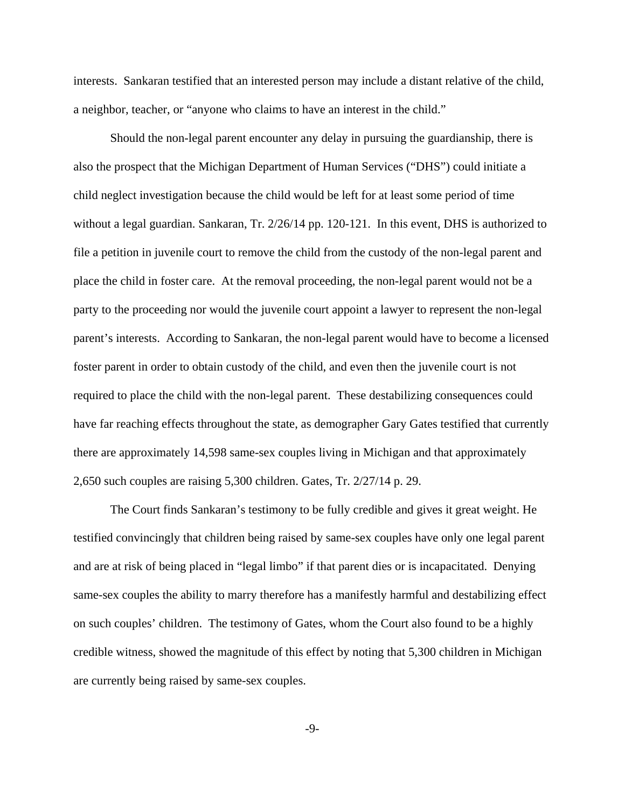interests. Sankaran testified that an interested person may include a distant relative of the child, a neighbor, teacher, or "anyone who claims to have an interest in the child."

Should the non-legal parent encounter any delay in pursuing the guardianship, there is also the prospect that the Michigan Department of Human Services ("DHS") could initiate a child neglect investigation because the child would be left for at least some period of time without a legal guardian. Sankaran, Tr. 2/26/14 pp. 120-121. In this event, DHS is authorized to file a petition in juvenile court to remove the child from the custody of the non-legal parent and place the child in foster care. At the removal proceeding, the non-legal parent would not be a party to the proceeding nor would the juvenile court appoint a lawyer to represent the non-legal parent's interests. According to Sankaran, the non-legal parent would have to become a licensed foster parent in order to obtain custody of the child, and even then the juvenile court is not required to place the child with the non-legal parent. These destabilizing consequences could have far reaching effects throughout the state, as demographer Gary Gates testified that currently there are approximately 14,598 same-sex couples living in Michigan and that approximately 2,650 such couples are raising 5,300 children. Gates, Tr. 2/27/14 p. 29.

The Court finds Sankaran's testimony to be fully credible and gives it great weight. He testified convincingly that children being raised by same-sex couples have only one legal parent and are at risk of being placed in "legal limbo" if that parent dies or is incapacitated. Denying same-sex couples the ability to marry therefore has a manifestly harmful and destabilizing effect on such couples' children. The testimony of Gates, whom the Court also found to be a highly credible witness, showed the magnitude of this effect by noting that 5,300 children in Michigan are currently being raised by same-sex couples.

-9-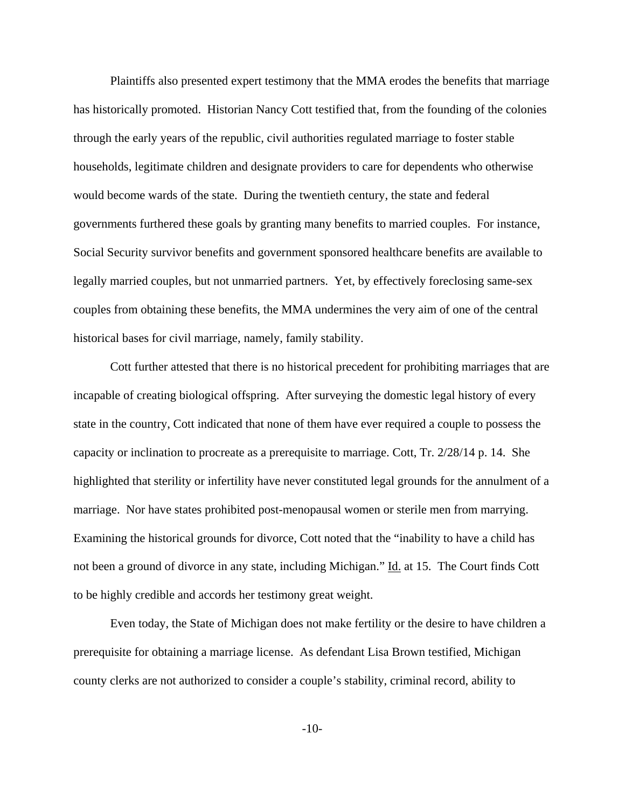Plaintiffs also presented expert testimony that the MMA erodes the benefits that marriage has historically promoted. Historian Nancy Cott testified that, from the founding of the colonies through the early years of the republic, civil authorities regulated marriage to foster stable households, legitimate children and designate providers to care for dependents who otherwise would become wards of the state. During the twentieth century, the state and federal governments furthered these goals by granting many benefits to married couples. For instance, Social Security survivor benefits and government sponsored healthcare benefits are available to legally married couples, but not unmarried partners. Yet, by effectively foreclosing same-sex couples from obtaining these benefits, the MMA undermines the very aim of one of the central historical bases for civil marriage, namely, family stability.

Cott further attested that there is no historical precedent for prohibiting marriages that are incapable of creating biological offspring. After surveying the domestic legal history of every state in the country, Cott indicated that none of them have ever required a couple to possess the capacity or inclination to procreate as a prerequisite to marriage. Cott, Tr. 2/28/14 p. 14. She highlighted that sterility or infertility have never constituted legal grounds for the annulment of a marriage. Nor have states prohibited post-menopausal women or sterile men from marrying. Examining the historical grounds for divorce, Cott noted that the "inability to have a child has not been a ground of divorce in any state, including Michigan." Id. at 15. The Court finds Cott to be highly credible and accords her testimony great weight.

Even today, the State of Michigan does not make fertility or the desire to have children a prerequisite for obtaining a marriage license. As defendant Lisa Brown testified, Michigan county clerks are not authorized to consider a couple's stability, criminal record, ability to

-10-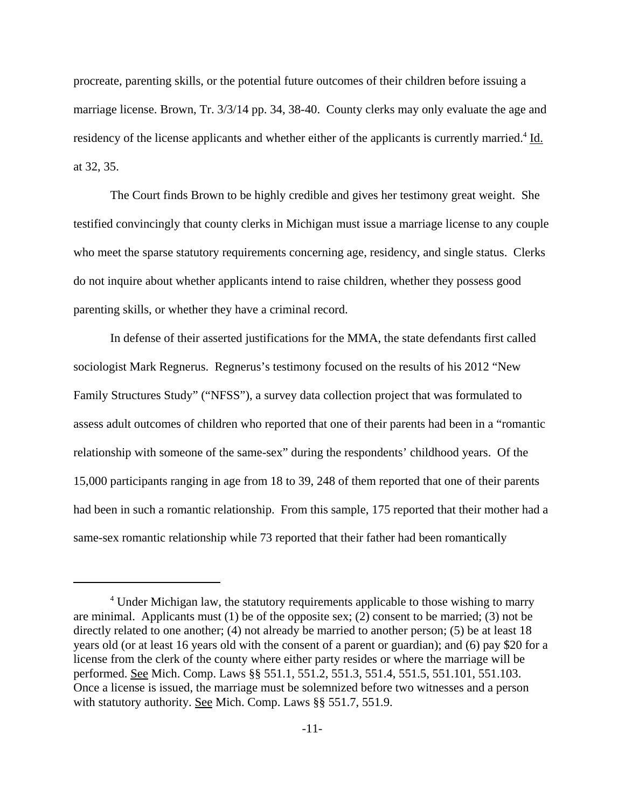procreate, parenting skills, or the potential future outcomes of their children before issuing a marriage license. Brown, Tr. 3/3/14 pp. 34, 38-40. County clerks may only evaluate the age and residency of the license applicants and whether either of the applicants is currently married.<sup>4</sup> Id. at 32, 35.

The Court finds Brown to be highly credible and gives her testimony great weight. She testified convincingly that county clerks in Michigan must issue a marriage license to any couple who meet the sparse statutory requirements concerning age, residency, and single status. Clerks do not inquire about whether applicants intend to raise children, whether they possess good parenting skills, or whether they have a criminal record.

In defense of their asserted justifications for the MMA, the state defendants first called sociologist Mark Regnerus. Regnerus's testimony focused on the results of his 2012 "New Family Structures Study" ("NFSS"), a survey data collection project that was formulated to assess adult outcomes of children who reported that one of their parents had been in a "romantic relationship with someone of the same-sex" during the respondents' childhood years. Of the 15,000 participants ranging in age from 18 to 39, 248 of them reported that one of their parents had been in such a romantic relationship. From this sample, 175 reported that their mother had a same-sex romantic relationship while 73 reported that their father had been romantically

<sup>&</sup>lt;sup>4</sup> Under Michigan law, the statutory requirements applicable to those wishing to marry are minimal. Applicants must  $(1)$  be of the opposite sex;  $(2)$  consent to be married;  $(3)$  not be directly related to one another; (4) not already be married to another person; (5) be at least 18 years old (or at least 16 years old with the consent of a parent or guardian); and (6) pay \$20 for a license from the clerk of the county where either party resides or where the marriage will be performed. See Mich. Comp. Laws §§ 551.1, 551.2, 551.3, 551.4, 551.5, 551.101, 551.103. Once a license is issued, the marriage must be solemnized before two witnesses and a person with statutory authority. See Mich. Comp. Laws §§ 551.7, 551.9.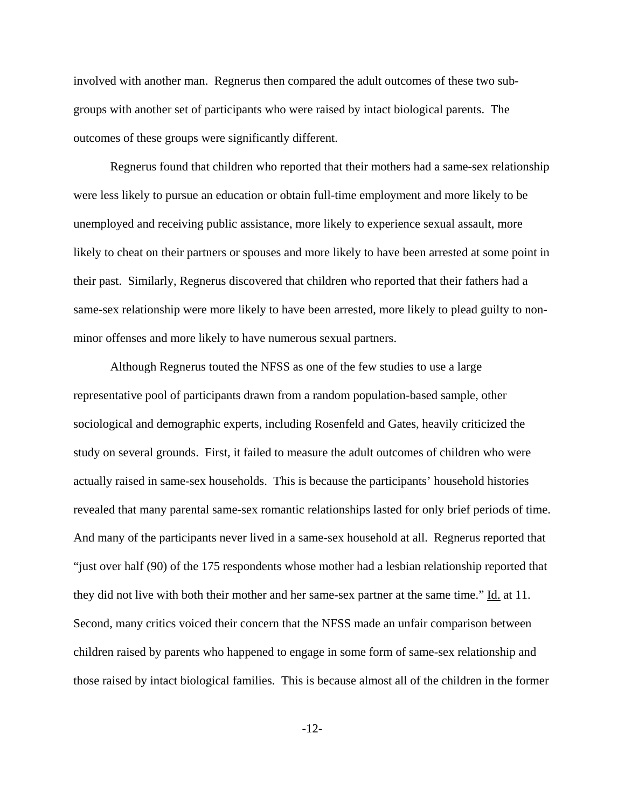involved with another man. Regnerus then compared the adult outcomes of these two subgroups with another set of participants who were raised by intact biological parents. The outcomes of these groups were significantly different.

Regnerus found that children who reported that their mothers had a same-sex relationship were less likely to pursue an education or obtain full-time employment and more likely to be unemployed and receiving public assistance, more likely to experience sexual assault, more likely to cheat on their partners or spouses and more likely to have been arrested at some point in their past. Similarly, Regnerus discovered that children who reported that their fathers had a same-sex relationship were more likely to have been arrested, more likely to plead guilty to nonminor offenses and more likely to have numerous sexual partners.

Although Regnerus touted the NFSS as one of the few studies to use a large representative pool of participants drawn from a random population-based sample, other sociological and demographic experts, including Rosenfeld and Gates, heavily criticized the study on several grounds. First, it failed to measure the adult outcomes of children who were actually raised in same-sex households. This is because the participants' household histories revealed that many parental same-sex romantic relationships lasted for only brief periods of time. And many of the participants never lived in a same-sex household at all. Regnerus reported that "just over half (90) of the 175 respondents whose mother had a lesbian relationship reported that they did not live with both their mother and her same-sex partner at the same time." Id. at 11. Second, many critics voiced their concern that the NFSS made an unfair comparison between children raised by parents who happened to engage in some form of same-sex relationship and those raised by intact biological families. This is because almost all of the children in the former

-12-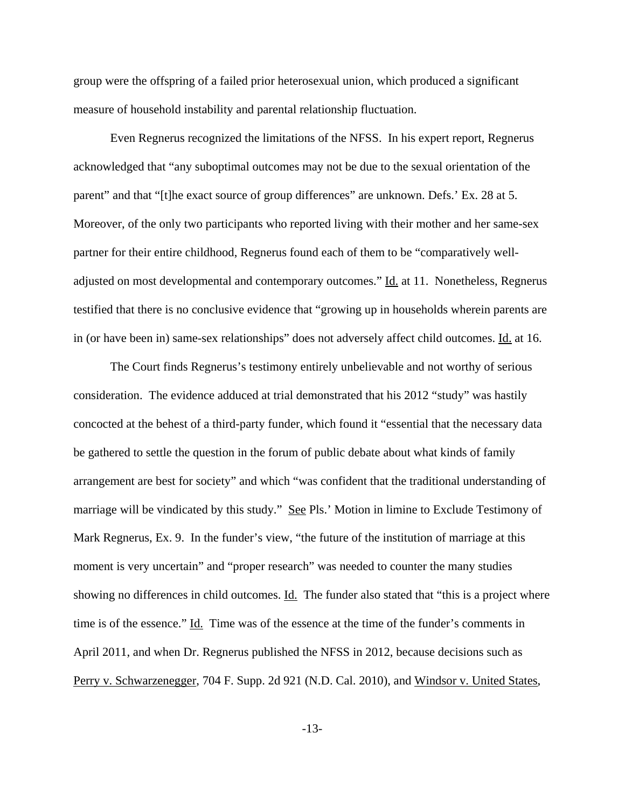group were the offspring of a failed prior heterosexual union, which produced a significant measure of household instability and parental relationship fluctuation.

Even Regnerus recognized the limitations of the NFSS. In his expert report, Regnerus acknowledged that "any suboptimal outcomes may not be due to the sexual orientation of the parent" and that "[t]he exact source of group differences" are unknown. Defs.' Ex. 28 at 5. Moreover, of the only two participants who reported living with their mother and her same-sex partner for their entire childhood, Regnerus found each of them to be "comparatively welladjusted on most developmental and contemporary outcomes." Id. at 11. Nonetheless, Regnerus testified that there is no conclusive evidence that "growing up in households wherein parents are in (or have been in) same-sex relationships" does not adversely affect child outcomes. Id. at 16.

The Court finds Regnerus's testimony entirely unbelievable and not worthy of serious consideration. The evidence adduced at trial demonstrated that his 2012 "study" was hastily concocted at the behest of a third-party funder, which found it "essential that the necessary data be gathered to settle the question in the forum of public debate about what kinds of family arrangement are best for society" and which "was confident that the traditional understanding of marriage will be vindicated by this study." See Pls.' Motion in limine to Exclude Testimony of Mark Regnerus, Ex. 9. In the funder's view, "the future of the institution of marriage at this moment is very uncertain" and "proper research" was needed to counter the many studies showing no differences in child outcomes. Id. The funder also stated that "this is a project where time is of the essence." Id. Time was of the essence at the time of the funder's comments in April 2011, and when Dr. Regnerus published the NFSS in 2012, because decisions such as Perry v. Schwarzenegger, 704 F. Supp. 2d 921 (N.D. Cal. 2010), and Windsor v. United States,

-13-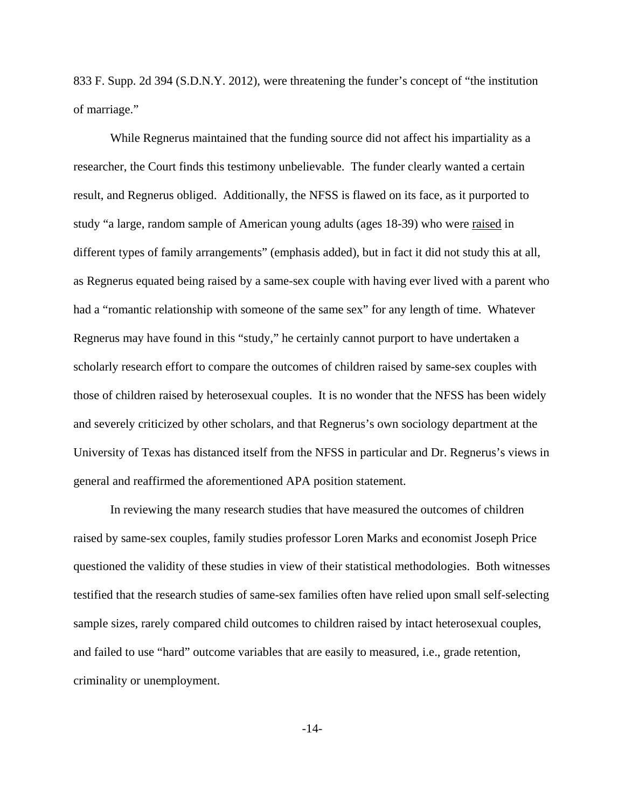833 F. Supp. 2d 394 (S.D.N.Y. 2012), were threatening the funder's concept of "the institution of marriage."

While Regnerus maintained that the funding source did not affect his impartiality as a researcher, the Court finds this testimony unbelievable. The funder clearly wanted a certain result, and Regnerus obliged. Additionally, the NFSS is flawed on its face, as it purported to study "a large, random sample of American young adults (ages 18-39) who were raised in different types of family arrangements" (emphasis added), but in fact it did not study this at all, as Regnerus equated being raised by a same-sex couple with having ever lived with a parent who had a "romantic relationship with someone of the same sex" for any length of time. Whatever Regnerus may have found in this "study," he certainly cannot purport to have undertaken a scholarly research effort to compare the outcomes of children raised by same-sex couples with those of children raised by heterosexual couples. It is no wonder that the NFSS has been widely and severely criticized by other scholars, and that Regnerus's own sociology department at the University of Texas has distanced itself from the NFSS in particular and Dr. Regnerus's views in general and reaffirmed the aforementioned APA position statement.

In reviewing the many research studies that have measured the outcomes of children raised by same-sex couples, family studies professor Loren Marks and economist Joseph Price questioned the validity of these studies in view of their statistical methodologies. Both witnesses testified that the research studies of same-sex families often have relied upon small self-selecting sample sizes, rarely compared child outcomes to children raised by intact heterosexual couples, and failed to use "hard" outcome variables that are easily to measured, i.e., grade retention, criminality or unemployment.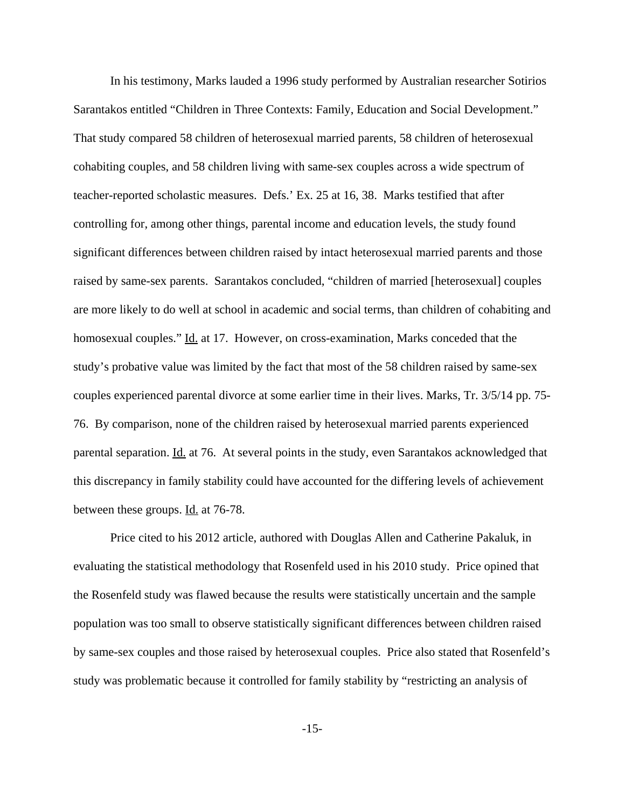In his testimony, Marks lauded a 1996 study performed by Australian researcher Sotirios Sarantakos entitled "Children in Three Contexts: Family, Education and Social Development." That study compared 58 children of heterosexual married parents, 58 children of heterosexual cohabiting couples, and 58 children living with same-sex couples across a wide spectrum of teacher-reported scholastic measures. Defs.' Ex. 25 at 16, 38. Marks testified that after controlling for, among other things, parental income and education levels, the study found significant differences between children raised by intact heterosexual married parents and those raised by same-sex parents. Sarantakos concluded, "children of married [heterosexual] couples are more likely to do well at school in academic and social terms, than children of cohabiting and homosexual couples." Id. at 17. However, on cross-examination, Marks conceded that the study's probative value was limited by the fact that most of the 58 children raised by same-sex couples experienced parental divorce at some earlier time in their lives. Marks, Tr. 3/5/14 pp. 75- 76. By comparison, none of the children raised by heterosexual married parents experienced parental separation. Id. at 76. At several points in the study, even Sarantakos acknowledged that this discrepancy in family stability could have accounted for the differing levels of achievement between these groups. Id. at 76-78.

Price cited to his 2012 article, authored with Douglas Allen and Catherine Pakaluk, in evaluating the statistical methodology that Rosenfeld used in his 2010 study. Price opined that the Rosenfeld study was flawed because the results were statistically uncertain and the sample population was too small to observe statistically significant differences between children raised by same-sex couples and those raised by heterosexual couples. Price also stated that Rosenfeld's study was problematic because it controlled for family stability by "restricting an analysis of

-15-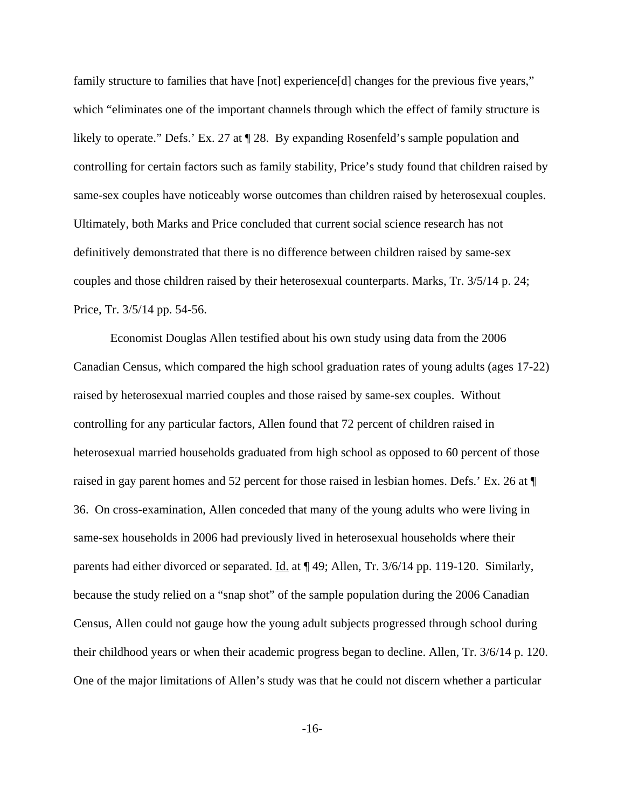family structure to families that have [not] experience[d] changes for the previous five years," which "eliminates one of the important channels through which the effect of family structure is likely to operate." Defs.' Ex. 27 at ¶ 28. By expanding Rosenfeld's sample population and controlling for certain factors such as family stability, Price's study found that children raised by same-sex couples have noticeably worse outcomes than children raised by heterosexual couples. Ultimately, both Marks and Price concluded that current social science research has not definitively demonstrated that there is no difference between children raised by same-sex couples and those children raised by their heterosexual counterparts. Marks, Tr. 3/5/14 p. 24; Price, Tr. 3/5/14 pp. 54-56.

Economist Douglas Allen testified about his own study using data from the 2006 Canadian Census, which compared the high school graduation rates of young adults (ages 17-22) raised by heterosexual married couples and those raised by same-sex couples. Without controlling for any particular factors, Allen found that 72 percent of children raised in heterosexual married households graduated from high school as opposed to 60 percent of those raised in gay parent homes and 52 percent for those raised in lesbian homes. Defs.' Ex. 26 at ¶ 36. On cross-examination, Allen conceded that many of the young adults who were living in same-sex households in 2006 had previously lived in heterosexual households where their parents had either divorced or separated. Id. at  $\P$  49; Allen, Tr. 3/6/14 pp. 119-120. Similarly, because the study relied on a "snap shot" of the sample population during the 2006 Canadian Census, Allen could not gauge how the young adult subjects progressed through school during their childhood years or when their academic progress began to decline. Allen, Tr. 3/6/14 p. 120. One of the major limitations of Allen's study was that he could not discern whether a particular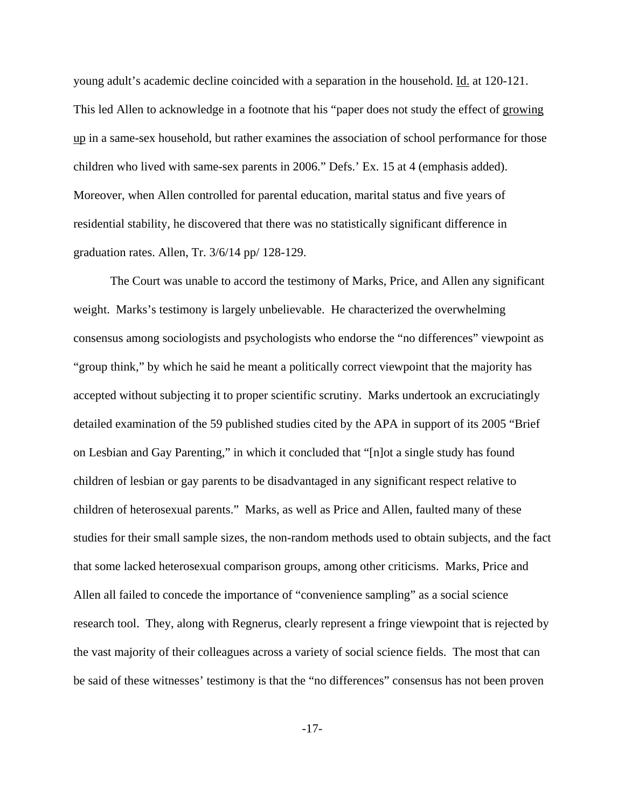young adult's academic decline coincided with a separation in the household. Id. at 120-121. This led Allen to acknowledge in a footnote that his "paper does not study the effect of growing up in a same-sex household, but rather examines the association of school performance for those children who lived with same-sex parents in 2006." Defs.' Ex. 15 at 4 (emphasis added). Moreover, when Allen controlled for parental education, marital status and five years of residential stability, he discovered that there was no statistically significant difference in graduation rates. Allen, Tr. 3/6/14 pp/ 128-129.

The Court was unable to accord the testimony of Marks, Price, and Allen any significant weight. Marks's testimony is largely unbelievable. He characterized the overwhelming consensus among sociologists and psychologists who endorse the "no differences" viewpoint as "group think," by which he said he meant a politically correct viewpoint that the majority has accepted without subjecting it to proper scientific scrutiny. Marks undertook an excruciatingly detailed examination of the 59 published studies cited by the APA in support of its 2005 "Brief on Lesbian and Gay Parenting," in which it concluded that "[n]ot a single study has found children of lesbian or gay parents to be disadvantaged in any significant respect relative to children of heterosexual parents." Marks, as well as Price and Allen, faulted many of these studies for their small sample sizes, the non-random methods used to obtain subjects, and the fact that some lacked heterosexual comparison groups, among other criticisms. Marks, Price and Allen all failed to concede the importance of "convenience sampling" as a social science research tool. They, along with Regnerus, clearly represent a fringe viewpoint that is rejected by the vast majority of their colleagues across a variety of social science fields. The most that can be said of these witnesses' testimony is that the "no differences" consensus has not been proven

-17-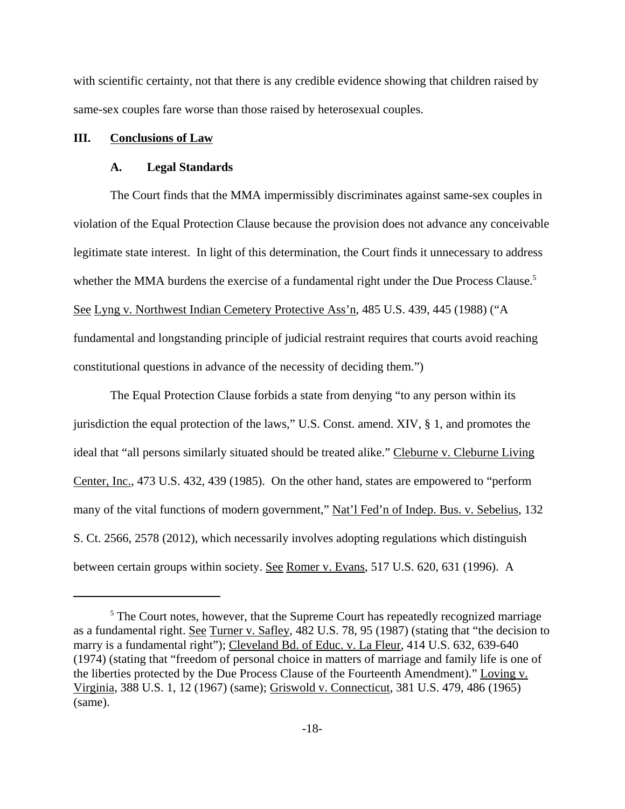with scientific certainty, not that there is any credible evidence showing that children raised by same-sex couples fare worse than those raised by heterosexual couples.

#### **III. Conclusions of Law**

#### **A. Legal Standards**

The Court finds that the MMA impermissibly discriminates against same-sex couples in violation of the Equal Protection Clause because the provision does not advance any conceivable legitimate state interest. In light of this determination, the Court finds it unnecessary to address whether the MMA burdens the exercise of a fundamental right under the Due Process Clause.<sup>5</sup> See Lyng v. Northwest Indian Cemetery Protective Ass'n, 485 U.S. 439, 445 (1988) ("A fundamental and longstanding principle of judicial restraint requires that courts avoid reaching constitutional questions in advance of the necessity of deciding them.")

The Equal Protection Clause forbids a state from denying "to any person within its jurisdiction the equal protection of the laws," U.S. Const. amend. XIV, § 1, and promotes the ideal that "all persons similarly situated should be treated alike." Cleburne v. Cleburne Living Center, Inc., 473 U.S. 432, 439 (1985). On the other hand, states are empowered to "perform many of the vital functions of modern government," Nat'l Fed'n of Indep. Bus. v. Sebelius, 132 S. Ct. 2566, 2578 (2012), which necessarily involves adopting regulations which distinguish between certain groups within society. See Romer v. Evans, 517 U.S. 620, 631 (1996). A

<sup>&</sup>lt;sup>5</sup> The Court notes, however, that the Supreme Court has repeatedly recognized marriage as a fundamental right. See Turner v. Safley, 482 U.S. 78, 95 (1987) (stating that "the decision to marry is a fundamental right"); Cleveland Bd. of Educ. v. La Fleur, 414 U.S. 632, 639-640 (1974) (stating that "freedom of personal choice in matters of marriage and family life is one of the liberties protected by the Due Process Clause of the Fourteenth Amendment)." Loving v. Virginia, 388 U.S. 1, 12 (1967) (same); Griswold v. Connecticut, 381 U.S. 479, 486 (1965) (same).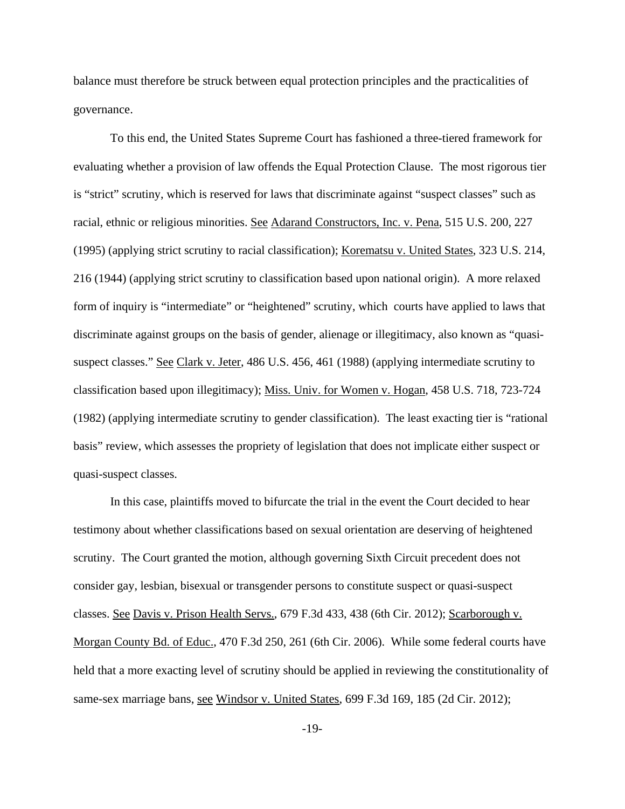balance must therefore be struck between equal protection principles and the practicalities of governance.

To this end, the United States Supreme Court has fashioned a three-tiered framework for evaluating whether a provision of law offends the Equal Protection Clause. The most rigorous tier is "strict" scrutiny, which is reserved for laws that discriminate against "suspect classes" such as racial, ethnic or religious minorities. See Adarand Constructors, Inc. v. Pena, 515 U.S. 200, 227 (1995) (applying strict scrutiny to racial classification); Korematsu v. United States, 323 U.S. 214, 216 (1944) (applying strict scrutiny to classification based upon national origin). A more relaxed form of inquiry is "intermediate" or "heightened" scrutiny, which courts have applied to laws that discriminate against groups on the basis of gender, alienage or illegitimacy, also known as "quasisuspect classes." See Clark v. Jeter, 486 U.S. 456, 461 (1988) (applying intermediate scrutiny to classification based upon illegitimacy); Miss. Univ. for Women v. Hogan, 458 U.S. 718, 723-724 (1982) (applying intermediate scrutiny to gender classification). The least exacting tier is "rational basis" review, which assesses the propriety of legislation that does not implicate either suspect or quasi-suspect classes.

In this case, plaintiffs moved to bifurcate the trial in the event the Court decided to hear testimony about whether classifications based on sexual orientation are deserving of heightened scrutiny. The Court granted the motion, although governing Sixth Circuit precedent does not consider gay, lesbian, bisexual or transgender persons to constitute suspect or quasi-suspect classes. See Davis v. Prison Health Servs., 679 F.3d 433, 438 (6th Cir. 2012); Scarborough v. Morgan County Bd. of Educ., 470 F.3d 250, 261 (6th Cir. 2006). While some federal courts have held that a more exacting level of scrutiny should be applied in reviewing the constitutionality of same-sex marriage bans, see Windsor v. United States, 699 F.3d 169, 185 (2d Cir. 2012);

-19-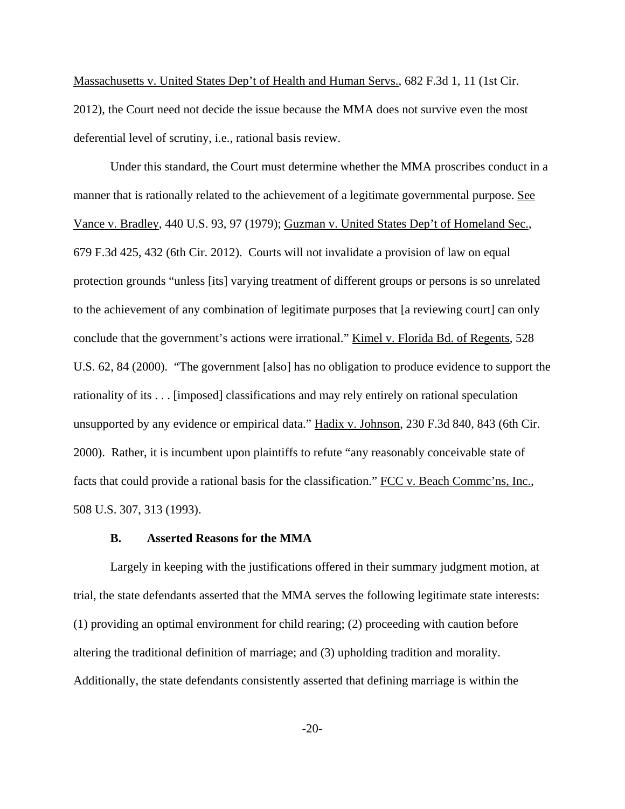Massachusetts v. United States Dep't of Health and Human Servs., 682 F.3d 1, 11 (1st Cir. 2012), the Court need not decide the issue because the MMA does not survive even the most deferential level of scrutiny, i.e., rational basis review.

Under this standard, the Court must determine whether the MMA proscribes conduct in a manner that is rationally related to the achievement of a legitimate governmental purpose. See Vance v. Bradley, 440 U.S. 93, 97 (1979); Guzman v. United States Dep't of Homeland Sec., 679 F.3d 425, 432 (6th Cir. 2012). Courts will not invalidate a provision of law on equal protection grounds "unless [its] varying treatment of different groups or persons is so unrelated to the achievement of any combination of legitimate purposes that [a reviewing court] can only conclude that the government's actions were irrational." Kimel v. Florida Bd. of Regents, 528 U.S. 62, 84 (2000). "The government [also] has no obligation to produce evidence to support the rationality of its . . . [imposed] classifications and may rely entirely on rational speculation unsupported by any evidence or empirical data." Hadix v. Johnson, 230 F.3d 840, 843 (6th Cir. 2000). Rather, it is incumbent upon plaintiffs to refute "any reasonably conceivable state of facts that could provide a rational basis for the classification." FCC v. Beach Comme'ns, Inc., 508 U.S. 307, 313 (1993).

#### **B. Asserted Reasons for the MMA**

Largely in keeping with the justifications offered in their summary judgment motion, at trial, the state defendants asserted that the MMA serves the following legitimate state interests: (1) providing an optimal environment for child rearing; (2) proceeding with caution before altering the traditional definition of marriage; and (3) upholding tradition and morality. Additionally, the state defendants consistently asserted that defining marriage is within the

-20-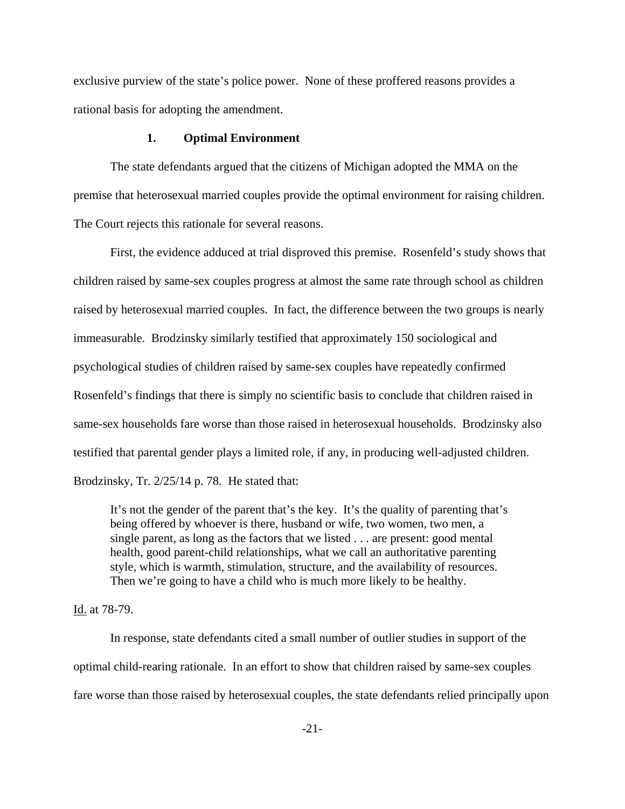exclusive purview of the state's police power. None of these proffered reasons provides a rational basis for adopting the amendment.

#### **1. Optimal Environment**

The state defendants argued that the citizens of Michigan adopted the MMA on the premise that heterosexual married couples provide the optimal environment for raising children. The Court rejects this rationale for several reasons.

First, the evidence adduced at trial disproved this premise. Rosenfeld's study shows that children raised by same-sex couples progress at almost the same rate through school as children raised by heterosexual married couples. In fact, the difference between the two groups is nearly immeasurable. Brodzinsky similarly testified that approximately 150 sociological and psychological studies of children raised by same-sex couples have repeatedly confirmed Rosenfeld's findings that there is simply no scientific basis to conclude that children raised in same-sex households fare worse than those raised in heterosexual households. Brodzinsky also testified that parental gender plays a limited role, if any, in producing well-adjusted children. Brodzinsky, Tr. 2/25/14 p. 78. He stated that:

It's not the gender of the parent that's the key. It's the quality of parenting that's being offered by whoever is there, husband or wife, two women, two men, a single parent, as long as the factors that we listed . . . are present: good mental health, good parent-child relationships, what we call an authoritative parenting style, which is warmth, stimulation, structure, and the availability of resources. Then we're going to have a child who is much more likely to be healthy.

## Id. at 78-79.

 In response, state defendants cited a small number of outlier studies in support of the optimal child-rearing rationale. In an effort to show that children raised by same-sex couples fare worse than those raised by heterosexual couples, the state defendants relied principally upon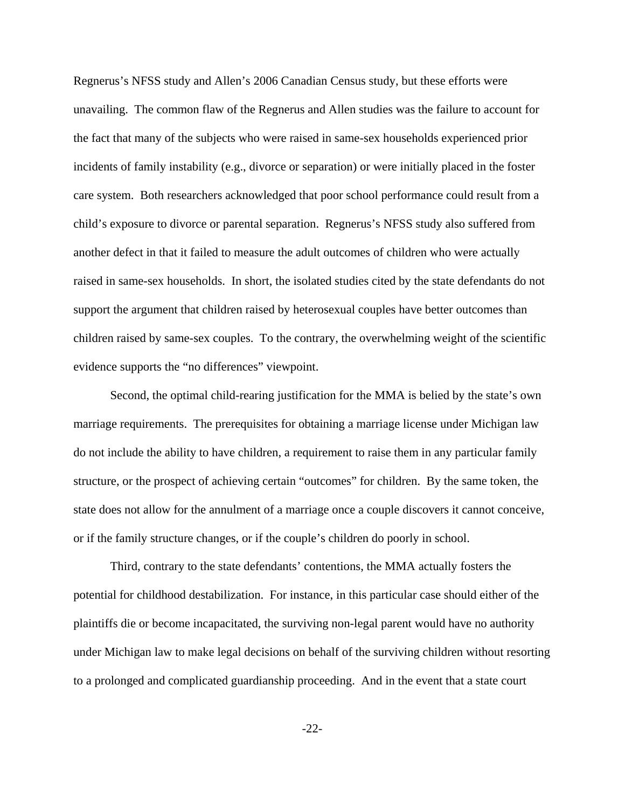Regnerus's NFSS study and Allen's 2006 Canadian Census study, but these efforts were unavailing. The common flaw of the Regnerus and Allen studies was the failure to account for the fact that many of the subjects who were raised in same-sex households experienced prior incidents of family instability (e.g., divorce or separation) or were initially placed in the foster care system. Both researchers acknowledged that poor school performance could result from a child's exposure to divorce or parental separation. Regnerus's NFSS study also suffered from another defect in that it failed to measure the adult outcomes of children who were actually raised in same-sex households. In short, the isolated studies cited by the state defendants do not support the argument that children raised by heterosexual couples have better outcomes than children raised by same-sex couples. To the contrary, the overwhelming weight of the scientific evidence supports the "no differences" viewpoint.

Second, the optimal child-rearing justification for the MMA is belied by the state's own marriage requirements. The prerequisites for obtaining a marriage license under Michigan law do not include the ability to have children, a requirement to raise them in any particular family structure, or the prospect of achieving certain "outcomes" for children. By the same token, the state does not allow for the annulment of a marriage once a couple discovers it cannot conceive, or if the family structure changes, or if the couple's children do poorly in school.

Third, contrary to the state defendants' contentions, the MMA actually fosters the potential for childhood destabilization. For instance, in this particular case should either of the plaintiffs die or become incapacitated, the surviving non-legal parent would have no authority under Michigan law to make legal decisions on behalf of the surviving children without resorting to a prolonged and complicated guardianship proceeding. And in the event that a state court

-22-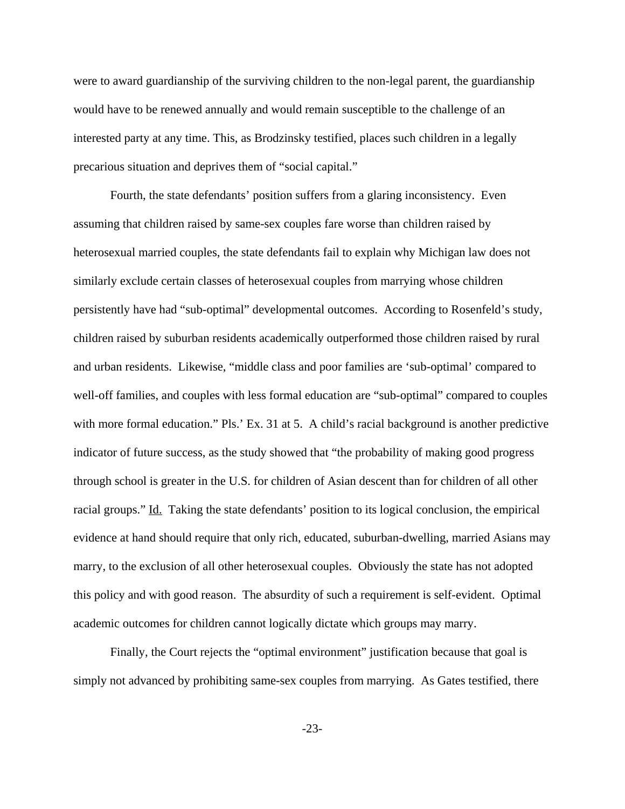were to award guardianship of the surviving children to the non-legal parent, the guardianship would have to be renewed annually and would remain susceptible to the challenge of an interested party at any time. This, as Brodzinsky testified, places such children in a legally precarious situation and deprives them of "social capital."

Fourth, the state defendants' position suffers from a glaring inconsistency. Even assuming that children raised by same-sex couples fare worse than children raised by heterosexual married couples, the state defendants fail to explain why Michigan law does not similarly exclude certain classes of heterosexual couples from marrying whose children persistently have had "sub-optimal" developmental outcomes. According to Rosenfeld's study, children raised by suburban residents academically outperformed those children raised by rural and urban residents. Likewise, "middle class and poor families are 'sub-optimal' compared to well-off families, and couples with less formal education are "sub-optimal" compared to couples with more formal education." Pls.' Ex. 31 at 5. A child's racial background is another predictive indicator of future success, as the study showed that "the probability of making good progress through school is greater in the U.S. for children of Asian descent than for children of all other racial groups." Id. Taking the state defendants' position to its logical conclusion, the empirical evidence at hand should require that only rich, educated, suburban-dwelling, married Asians may marry, to the exclusion of all other heterosexual couples. Obviously the state has not adopted this policy and with good reason. The absurdity of such a requirement is self-evident. Optimal academic outcomes for children cannot logically dictate which groups may marry.

Finally, the Court rejects the "optimal environment" justification because that goal is simply not advanced by prohibiting same-sex couples from marrying. As Gates testified, there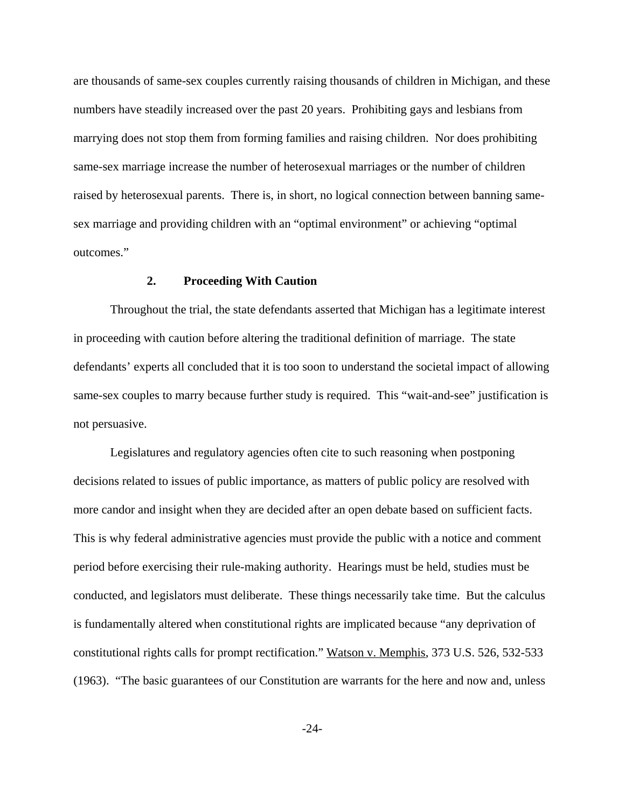are thousands of same-sex couples currently raising thousands of children in Michigan, and these numbers have steadily increased over the past 20 years. Prohibiting gays and lesbians from marrying does not stop them from forming families and raising children. Nor does prohibiting same-sex marriage increase the number of heterosexual marriages or the number of children raised by heterosexual parents. There is, in short, no logical connection between banning samesex marriage and providing children with an "optimal environment" or achieving "optimal outcomes."

## **2. Proceeding With Caution**

Throughout the trial, the state defendants asserted that Michigan has a legitimate interest in proceeding with caution before altering the traditional definition of marriage. The state defendants' experts all concluded that it is too soon to understand the societal impact of allowing same-sex couples to marry because further study is required. This "wait-and-see" justification is not persuasive.

Legislatures and regulatory agencies often cite to such reasoning when postponing decisions related to issues of public importance, as matters of public policy are resolved with more candor and insight when they are decided after an open debate based on sufficient facts. This is why federal administrative agencies must provide the public with a notice and comment period before exercising their rule-making authority. Hearings must be held, studies must be conducted, and legislators must deliberate. These things necessarily take time. But the calculus is fundamentally altered when constitutional rights are implicated because "any deprivation of constitutional rights calls for prompt rectification." Watson v. Memphis, 373 U.S. 526, 532-533 (1963). "The basic guarantees of our Constitution are warrants for the here and now and, unless

-24-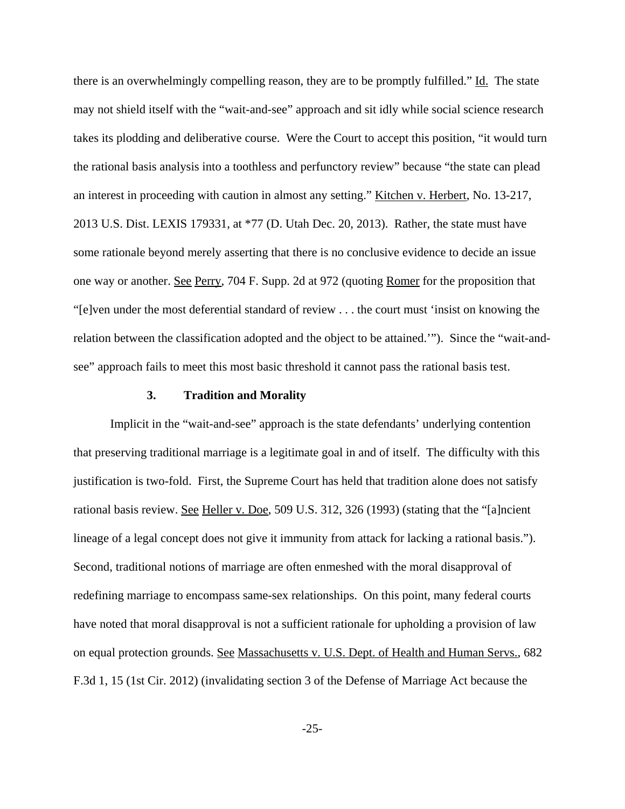there is an overwhelmingly compelling reason, they are to be promptly fulfilled." Id. The state may not shield itself with the "wait-and-see" approach and sit idly while social science research takes its plodding and deliberative course. Were the Court to accept this position, "it would turn the rational basis analysis into a toothless and perfunctory review" because "the state can plead an interest in proceeding with caution in almost any setting." Kitchen v. Herbert, No. 13-217, 2013 U.S. Dist. LEXIS 179331, at \*77 (D. Utah Dec. 20, 2013). Rather, the state must have some rationale beyond merely asserting that there is no conclusive evidence to decide an issue one way or another. See Perry, 704 F. Supp. 2d at 972 (quoting Romer for the proposition that "[e]ven under the most deferential standard of review . . . the court must 'insist on knowing the relation between the classification adopted and the object to be attained.'"). Since the "wait-andsee" approach fails to meet this most basic threshold it cannot pass the rational basis test.

## **3. Tradition and Morality**

Implicit in the "wait-and-see" approach is the state defendants' underlying contention that preserving traditional marriage is a legitimate goal in and of itself. The difficulty with this justification is two-fold. First, the Supreme Court has held that tradition alone does not satisfy rational basis review. See Heller v. Doe, 509 U.S. 312, 326 (1993) (stating that the "[a]ncient lineage of a legal concept does not give it immunity from attack for lacking a rational basis."). Second, traditional notions of marriage are often enmeshed with the moral disapproval of redefining marriage to encompass same-sex relationships. On this point, many federal courts have noted that moral disapproval is not a sufficient rationale for upholding a provision of law on equal protection grounds. See Massachusetts v. U.S. Dept. of Health and Human Servs., 682 F.3d 1, 15 (1st Cir. 2012) (invalidating section 3 of the Defense of Marriage Act because the

-25-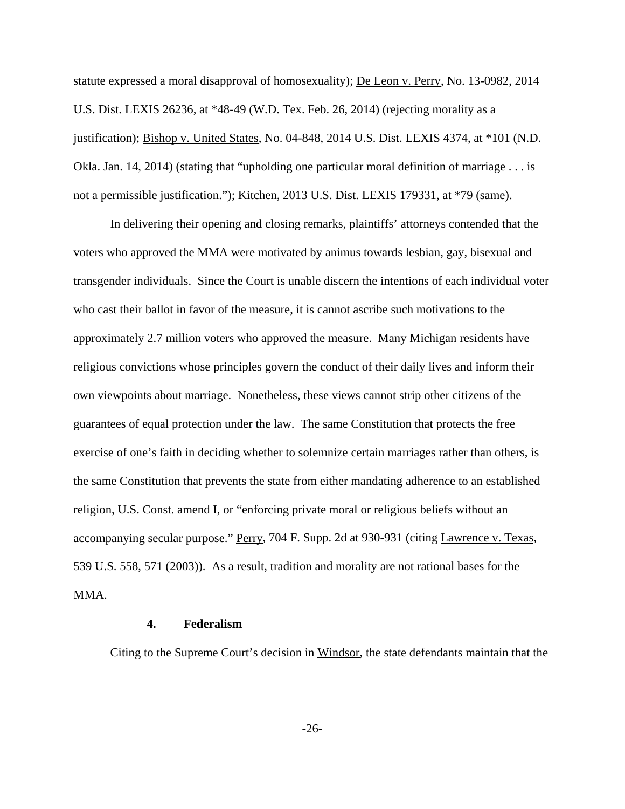statute expressed a moral disapproval of homosexuality); De Leon v. Perry, No. 13-0982, 2014 U.S. Dist. LEXIS 26236, at \*48-49 (W.D. Tex. Feb. 26, 2014) (rejecting morality as a justification); Bishop v. United States, No. 04-848, 2014 U.S. Dist. LEXIS 4374, at \*101 (N.D. Okla. Jan. 14, 2014) (stating that "upholding one particular moral definition of marriage . . . is not a permissible justification."); Kitchen, 2013 U.S. Dist. LEXIS 179331, at \*79 (same).

In delivering their opening and closing remarks, plaintiffs' attorneys contended that the voters who approved the MMA were motivated by animus towards lesbian, gay, bisexual and transgender individuals. Since the Court is unable discern the intentions of each individual voter who cast their ballot in favor of the measure, it is cannot ascribe such motivations to the approximately 2.7 million voters who approved the measure. Many Michigan residents have religious convictions whose principles govern the conduct of their daily lives and inform their own viewpoints about marriage. Nonetheless, these views cannot strip other citizens of the guarantees of equal protection under the law. The same Constitution that protects the free exercise of one's faith in deciding whether to solemnize certain marriages rather than others, is the same Constitution that prevents the state from either mandating adherence to an established religion, U.S. Const. amend I, or "enforcing private moral or religious beliefs without an accompanying secular purpose." Perry, 704 F. Supp. 2d at 930-931 (citing Lawrence v. Texas, 539 U.S. 558, 571 (2003)). As a result, tradition and morality are not rational bases for the MMA.

## **4. Federalism**

Citing to the Supreme Court's decision in Windsor, the state defendants maintain that the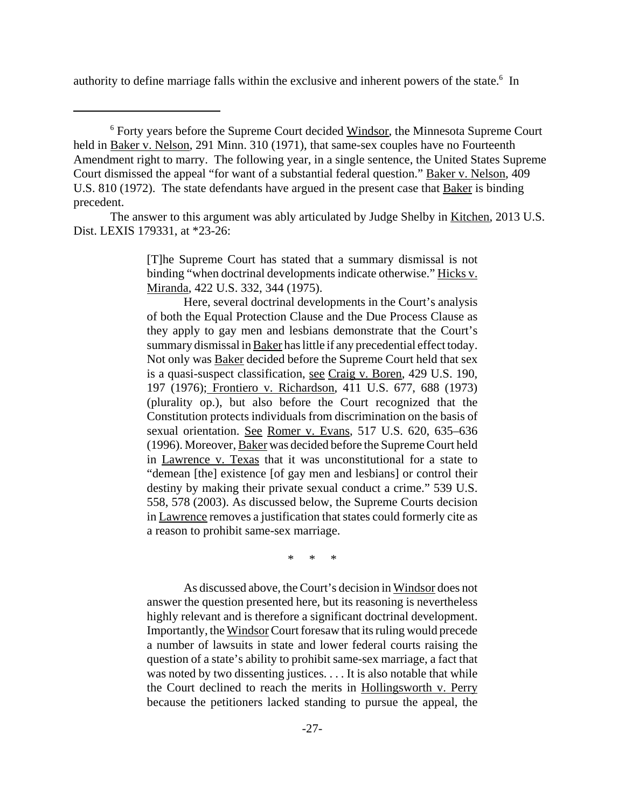authority to define marriage falls within the exclusive and inherent powers of the state.<sup>6</sup> In

<sup>6</sup> Forty years before the Supreme Court decided Windsor, the Minnesota Supreme Court held in Baker v. Nelson, 291 Minn. 310 (1971), that same-sex couples have no Fourteenth Amendment right to marry. The following year, in a single sentence, the United States Supreme Court dismissed the appeal "for want of a substantial federal question." Baker v. Nelson, 409 U.S. 810 (1972). The state defendants have argued in the present case that Baker is binding precedent.

The answer to this argument was ably articulated by Judge Shelby in Kitchen, 2013 U.S. Dist. LEXIS 179331, at \*23-26:

> [T]he Supreme Court has stated that a summary dismissal is not binding "when doctrinal developments indicate otherwise." Hicks v. Miranda, 422 U.S. 332, 344 (1975).

> Here, several doctrinal developments in the Court's analysis of both the Equal Protection Clause and the Due Process Clause as they apply to gay men and lesbians demonstrate that the Court's summary dismissal in Baker has little if any precedential effect today. Not only was Baker decided before the Supreme Court held that sex is a quasi-suspect classification, see Craig v. Boren, 429 U.S. 190, 197 (1976); Frontiero v. Richardson, 411 U.S. 677, 688 (1973) (plurality op.), but also before the Court recognized that the Constitution protects individuals from discrimination on the basis of sexual orientation. See Romer v. Evans, 517 U.S. 620, 635-636 (1996). Moreover, Baker was decided before the Supreme Court held in Lawrence v. Texas that it was unconstitutional for a state to "demean [the] existence [of gay men and lesbians] or control their destiny by making their private sexual conduct a crime." 539 U.S. 558, 578 (2003). As discussed below, the Supreme Courts decision in Lawrence removes a justification that states could formerly cite as a reason to prohibit same-sex marriage.

> > \* \* \*

As discussed above, the Court's decision in Windsor does not answer the question presented here, but its reasoning is nevertheless highly relevant and is therefore a significant doctrinal development. Importantly, the Windsor Court foresaw that its ruling would precede a number of lawsuits in state and lower federal courts raising the question of a state's ability to prohibit same-sex marriage, a fact that was noted by two dissenting justices. . . . It is also notable that while the Court declined to reach the merits in Hollingsworth v. Perry because the petitioners lacked standing to pursue the appeal, the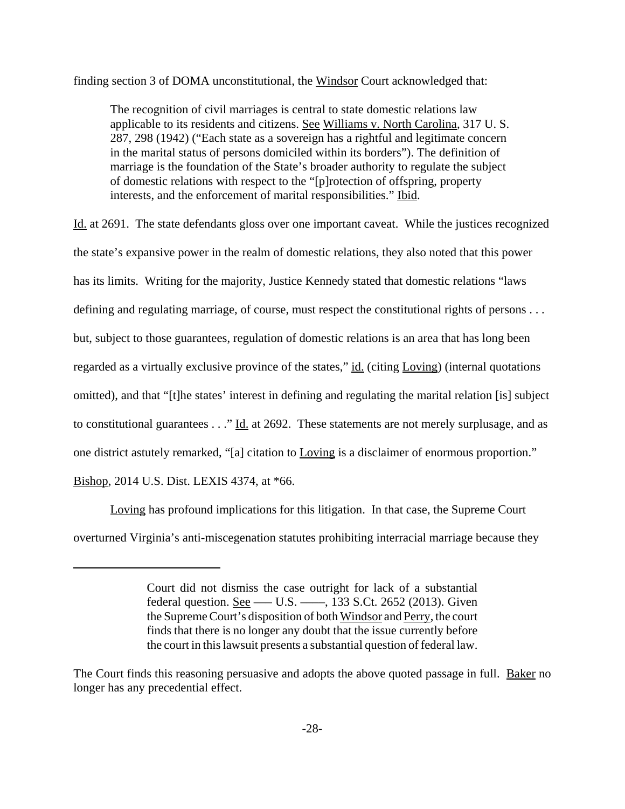finding section 3 of DOMA unconstitutional, the Windsor Court acknowledged that:

The recognition of civil marriages is central to state domestic relations law applicable to its residents and citizens. See Williams v. North Carolina, 317 U. S. 287, 298 (1942) ("Each state as a sovereign has a rightful and legitimate concern in the marital status of persons domiciled within its borders"). The definition of marriage is the foundation of the State's broader authority to regulate the subject of domestic relations with respect to the "[p]rotection of offspring, property interests, and the enforcement of marital responsibilities." Ibid.

Id. at 2691. The state defendants gloss over one important caveat. While the justices recognized the state's expansive power in the realm of domestic relations, they also noted that this power has its limits. Writing for the majority, Justice Kennedy stated that domestic relations "laws defining and regulating marriage, of course, must respect the constitutional rights of persons . . . but, subject to those guarantees, regulation of domestic relations is an area that has long been regarded as a virtually exclusive province of the states," id. (citing Loving) (internal quotations omitted), and that "[t]he states' interest in defining and regulating the marital relation [is] subject to constitutional guarantees . . ." Id. at 2692. These statements are not merely surplusage, and as one district astutely remarked, "[a] citation to Loving is a disclaimer of enormous proportion." Bishop, 2014 U.S. Dist. LEXIS 4374, at \*66.

Loving has profound implications for this litigation. In that case, the Supreme Court overturned Virginia's anti-miscegenation statutes prohibiting interracial marriage because they

Court did not dismiss the case outright for lack of a substantial federal question. <u>See</u> —– U.S. —–, 133 S.Ct. 2652 (2013). Given the Supreme Court's disposition of both Windsor and Perry, the court finds that there is no longer any doubt that the issue currently before the court in this lawsuit presents a substantial question of federal law.

The Court finds this reasoning persuasive and adopts the above quoted passage in full. Baker no longer has any precedential effect.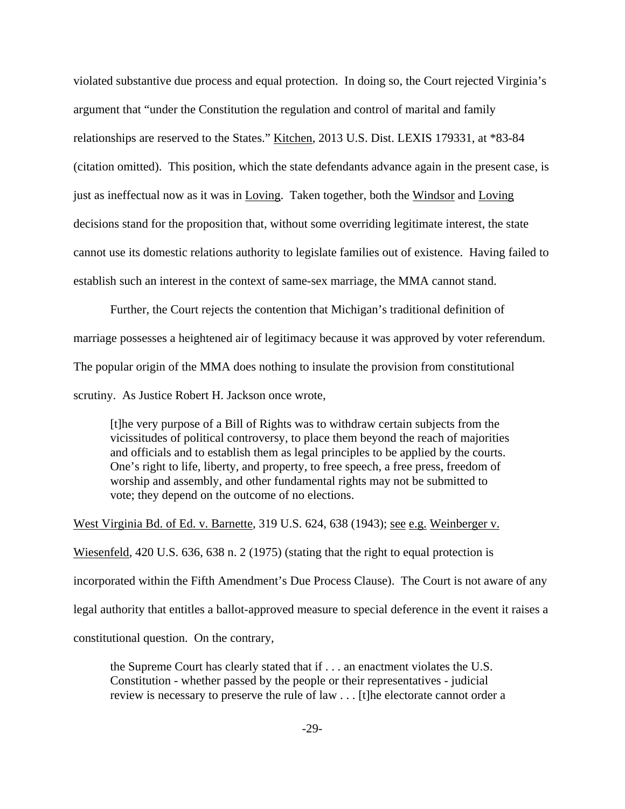violated substantive due process and equal protection. In doing so, the Court rejected Virginia's argument that "under the Constitution the regulation and control of marital and family relationships are reserved to the States." Kitchen, 2013 U.S. Dist. LEXIS 179331, at \*83-84 (citation omitted). This position, which the state defendants advance again in the present case, is just as ineffectual now as it was in Loving. Taken together, both the Windsor and Loving decisions stand for the proposition that, without some overriding legitimate interest, the state cannot use its domestic relations authority to legislate families out of existence. Having failed to establish such an interest in the context of same-sex marriage, the MMA cannot stand.

Further, the Court rejects the contention that Michigan's traditional definition of marriage possesses a heightened air of legitimacy because it was approved by voter referendum. The popular origin of the MMA does nothing to insulate the provision from constitutional scrutiny. As Justice Robert H. Jackson once wrote,

[t]he very purpose of a Bill of Rights was to withdraw certain subjects from the vicissitudes of political controversy, to place them beyond the reach of majorities and officials and to establish them as legal principles to be applied by the courts. One's right to life, liberty, and property, to free speech, a free press, freedom of worship and assembly, and other fundamental rights may not be submitted to vote; they depend on the outcome of no elections.

West Virginia Bd. of Ed. v. Barnette, 319 U.S. 624, 638 (1943); see e.g. Weinberger v.

Wiesenfeld, 420 U.S. 636, 638 n. 2 (1975) (stating that the right to equal protection is

incorporated within the Fifth Amendment's Due Process Clause). The Court is not aware of any

legal authority that entitles a ballot-approved measure to special deference in the event it raises a

constitutional question. On the contrary,

the Supreme Court has clearly stated that if . . . an enactment violates the U.S. Constitution - whether passed by the people or their representatives - judicial review is necessary to preserve the rule of law . . . [t]he electorate cannot order a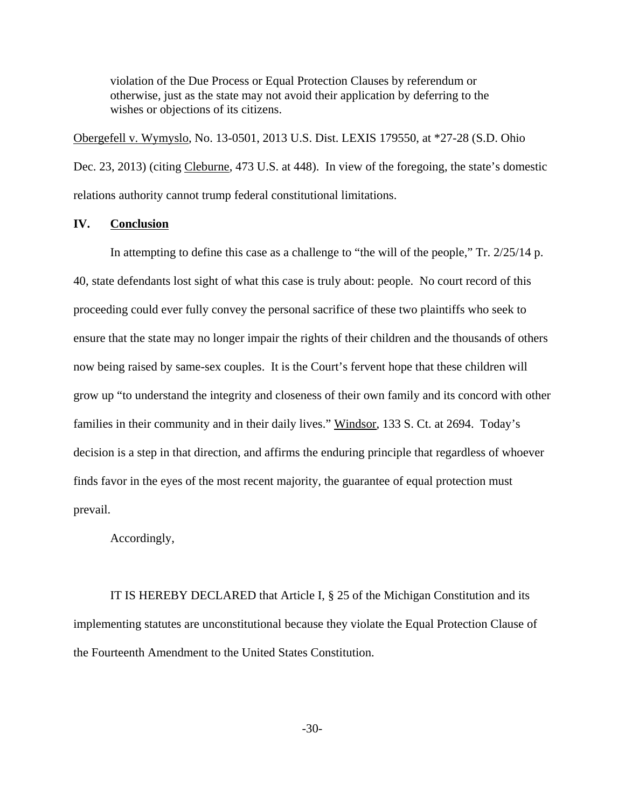violation of the Due Process or Equal Protection Clauses by referendum or otherwise, just as the state may not avoid their application by deferring to the wishes or objections of its citizens.

Obergefell v. Wymyslo, No. 13-0501, 2013 U.S. Dist. LEXIS 179550, at \*27-28 (S.D. Ohio Dec. 23, 2013) (citing Cleburne, 473 U.S. at 448). In view of the foregoing, the state's domestic relations authority cannot trump federal constitutional limitations.

## **IV. Conclusion**

In attempting to define this case as a challenge to "the will of the people," Tr. 2/25/14 p. 40, state defendants lost sight of what this case is truly about: people. No court record of this proceeding could ever fully convey the personal sacrifice of these two plaintiffs who seek to ensure that the state may no longer impair the rights of their children and the thousands of others now being raised by same-sex couples. It is the Court's fervent hope that these children will grow up "to understand the integrity and closeness of their own family and its concord with other families in their community and in their daily lives." Windsor, 133 S. Ct. at 2694. Today's decision is a step in that direction, and affirms the enduring principle that regardless of whoever finds favor in the eyes of the most recent majority, the guarantee of equal protection must prevail.

Accordingly,

IT IS HEREBY DECLARED that Article I, § 25 of the Michigan Constitution and its implementing statutes are unconstitutional because they violate the Equal Protection Clause of the Fourteenth Amendment to the United States Constitution.